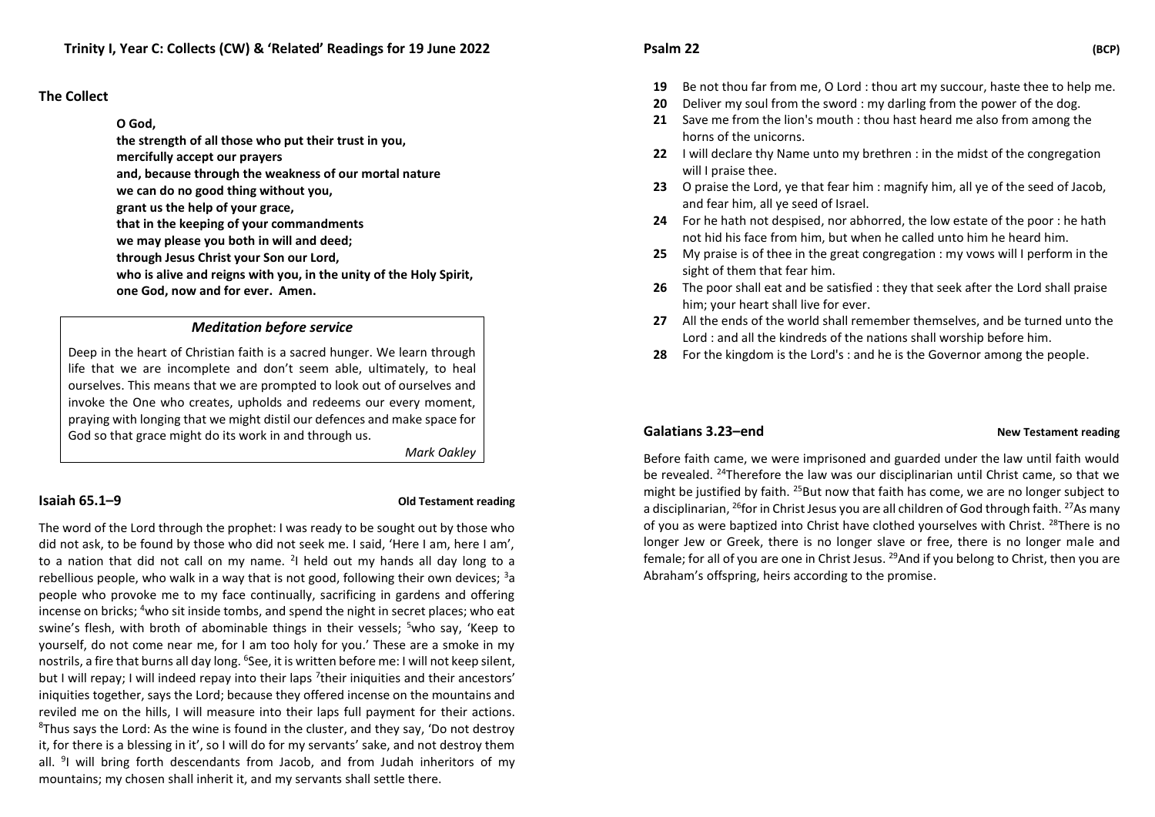### **The Collect**

#### **O God,**

**the strength of all those who put their trust in you, mercifully accept our prayers** 

**and, because through the weakness of our mortal nature** 

**we can do no good thing without you,** 

**grant us the help of your grace,** 

**that in the keeping of your commandments** 

**we may please you both in will and deed;** 

**through Jesus Christ your Son our Lord,** 

**who is alive and reigns with you, in the unity of the Holy Spirit, one God, now and for ever. Amen.** 

### *Meditation before service*

Deep in the heart of Christian faith is a sacred hunger. We learn through life that we are incomplete and don't seem able, ultimately, to heal ourselves. This means that we are prompted to look out of ourselves and invoke the One who creates, upholds and redeems our every moment, praying with longing that we might distil our defences and make space for God so that grace might do its work in and through us.

*Mark Oakley*

#### **Isaiah 65.1–9 Old Testament reading**

The word of the Lord through the prophet: I was ready to be sought out by those who did not ask, to be found by those who did not seek me. I said, 'Here I am, here I am', to a nation that did not call on my name. <sup>2</sup>I held out my hands all day long to a rebellious people, who walk in a way that is not good, following their own devices;  $3a$ people who provoke me to my face continually, sacrificing in gardens and offering incense on bricks; <sup>4</sup>who sit inside tombs, and spend the night in secret places; who eat swine's flesh, with broth of abominable things in their vessels; <sup>5</sup>who say, 'Keep to yourself, do not come near me, for I am too holy for you.' These are a smoke in my nostrils, a fire that burns all day long. <sup>6</sup>See, it is written before me: I will not keep silent, but I will repay; I will indeed repay into their laps <sup>7</sup>their iniquities and their ancestors' iniquities together, says the Lord; because they offered incense on the mountains and reviled me on the hills, I will measure into their laps full payment for their actions.  $8$ Thus says the Lord: As the wine is found in the cluster, and they say, 'Do not destroy it, for there is a blessing in it', so I will do for my servants' sake, and not destroy them all. <sup>9</sup>I will bring forth descendants from Jacob, and from Judah inheritors of my mountains; my chosen shall inherit it, and my servants shall settle there.

# **Psalm 22 (BCP)**

- **19** Be not thou far from me, O Lord : thou art my succour, haste thee to help me.
- **20** Deliver my soul from the sword : my darling from the power of the dog.
- **21** Save me from the lion's mouth : thou hast heard me also from among the horns of the unicorns.
- **22** I will declare thy Name unto my brethren : in the midst of the congregation will I praise thee.
- **23** O praise the Lord, ye that fear him : magnify him, all ye of the seed of Jacob, and fear him, all ye seed of Israel.
- **24** For he hath not despised, nor abhorred, the low estate of the poor : he hath not hid his face from him, but when he called unto him he heard him.
- **25** My praise is of thee in the great congregation : my vows will I perform in the sight of them that fear him.
- **26** The poor shall eat and be satisfied : they that seek after the Lord shall praise him; your heart shall live for ever.
- **27** All the ends of the world shall remember themselves, and be turned unto the Lord : and all the kindreds of the nations shall worship before him.
- **28** For the kingdom is the Lord's : and he is the Governor among the people.

#### **Galatians 3.23–end New Testament reading**

Before faith came, we were imprisoned and guarded under the law until faith would be revealed. <sup>24</sup>Therefore the law was our disciplinarian until Christ came, so that we might be justified by faith. <sup>25</sup>But now that faith has come, we are no longer subject to a disciplinarian, <sup>26</sup>for in Christ Jesus you are all children of God through faith. <sup>27</sup>As many of you as were baptized into Christ have clothed yourselves with Christ. <sup>28</sup>There is no longer Jew or Greek, there is no longer slave or free, there is no longer male and female; for all of you are one in Christ Jesus. <sup>29</sup>And if you belong to Christ, then you are Abraham's offspring, heirs according to the promise.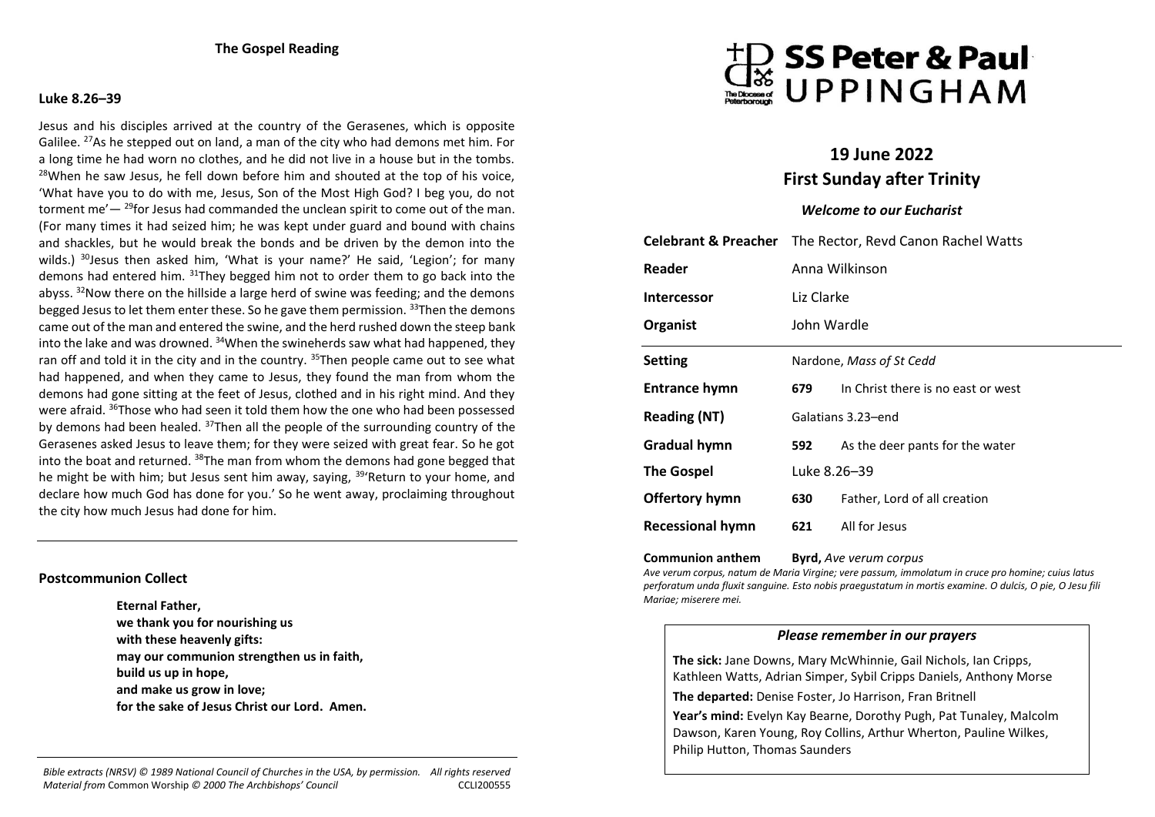#### **Luke 8.26–39**

Jesus and his disciples arrived at the country of the Gerasenes, which is opposite Galilee. <sup>27</sup>As he stepped out on land, a man of the city who had demons met him. For a long time he had worn no clothes, and he did not live in a house but in the tombs.  $28$ When he saw Jesus, he fell down before him and shouted at the top of his voice. 'What have you to do with me, Jesus, Son of the Most High God? I beg you, do not torment me' $-$  <sup>29</sup>for Jesus had commanded the unclean spirit to come out of the man. (For many times it had seized him; he was kept under guard and bound with chains and shackles, but he would break the bonds and be driven by the demon into the wilds.)  $30$  Jesus then asked him, 'What is your name?' He said, 'Legion'; for many demons had entered him.  $31$ They begged him not to order them to go back into the abyss. <sup>32</sup>Now there on the hillside a large herd of swine was feeding; and the demons begged Jesus to let them enter these. So he gave them permission.  $33$ Then the demons came out of the man and entered the swine, and the herd rushed down the steep bank into the lake and was drowned.  $34$ When the swineherds saw what had happened, they ran off and told it in the city and in the country.  $35$ Then people came out to see what had happened, and when they came to Jesus, they found the man from whom the demons had gone sitting at the feet of Jesus, clothed and in his right mind. And they were afraid. <sup>36</sup>Those who had seen it told them how the one who had been possessed by demons had been healed. <sup>37</sup>Then all the people of the surrounding country of the Gerasenes asked Jesus to leave them; for they were seized with great fear. So he got into the boat and returned.  $38$ The man from whom the demons had gone begged that he might be with him; but Jesus sent him away, saying, <sup>39</sup>'Return to your home, and declare how much God has done for you.' So he went away, proclaiming throughout the city how much Jesus had done for him.

### **Postcommunion Collect**

**Eternal Father, we thank you for nourishing us with these heavenly gifts: may our communion strengthen us in faith, build us up in hope, and make us grow in love; for the sake of Jesus Christ our Lord. Amen.** 





# **19 June 2022 First Sunday after Trinity**

# *Welcome to our Eucharist*

| <b>Celebrant &amp; Preacher</b> | The Rector, Revd Canon Rachel Watts |                                    |
|---------------------------------|-------------------------------------|------------------------------------|
| Reader                          | Anna Wilkinson                      |                                    |
| <b>Intercessor</b>              | Liz Clarke                          |                                    |
| Organist                        | John Wardle                         |                                    |
| <b>Setting</b>                  | Nardone, Mass of St Cedd            |                                    |
| Entrance hymn                   | 679                                 | In Christ there is no east or west |
| <b>Reading (NT)</b>             | Galatians 3.23-end                  |                                    |
| Gradual hymn                    | 592                                 | As the deer pants for the water    |
| <b>The Gospel</b>               | Luke 8.26-39                        |                                    |
| Offertory hymn                  | 630                                 | Father, Lord of all creation       |
| <b>Recessional hymn</b>         | 621                                 | All for Jesus                      |

**Communion anthem Byrd,** *Ave verum corpus*

*Ave verum corpus, natum de Maria Virgine; vere passum, immolatum in cruce pro homine; cuius latus perforatum unda fluxit sanguine. Esto nobis praegustatum in mortis examine. O dulcis, O pie, O Jesu fili Mariae; miserere mei.*

## *Please remember in our prayers*

**The sick:** Jane Downs, Mary McWhinnie, Gail Nichols, Ian Cripps, Kathleen Watts, Adrian Simper, Sybil Cripps Daniels, Anthony Morse **The departed:** Denise Foster, Jo Harrison, Fran Britnell **Year's mind:** Evelyn Kay Bearne, Dorothy Pugh, Pat Tunaley, Malcolm Dawson, Karen Young, Roy Collins, Arthur Wherton, Pauline Wilkes, Philip Hutton, Thomas Saunders